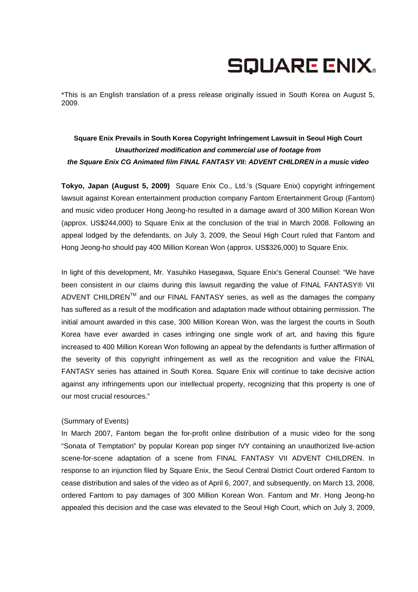# **SQUARE ENIX.**

\*This is an English translation of a press release originally issued in South Korea on August 5, 2009.

# **Square Enix Prevails in South Korea Copyright Infringement Lawsuit in Seoul High Court**  *Unauthorized modification and commercial use of footage from the Square Enix CG Animated film FINAL FANTASY VII: ADVENT CHILDREN in a music video*

**Tokyo, Japan (August 5, 2009)** Square Enix Co., Ltd.'s (Square Enix) copyright infringement lawsuit against Korean entertainment production company Fantom Entertainment Group (Fantom) and music video producer Hong Jeong-ho resulted in a damage award of 300 Million Korean Won (approx. US\$244,000) to Square Enix at the conclusion of the trial in March 2008. Following an appeal lodged by the defendants, on July 3, 2009, the Seoul High Court ruled that Fantom and Hong Jeong-ho should pay 400 Million Korean Won (approx. US\$326,000) to Square Enix.

In light of this development, Mr. Yasuhiko Hasegawa, Square Enix's General Counsel: "We have been consistent in our claims during this lawsuit regarding the value of FINAL FANTASY® VII ADVENT CHILDREN™ and our FINAL FANTASY series, as well as the damages the company has suffered as a result of the modification and adaptation made without obtaining permission. The initial amount awarded in this case, 300 Million Korean Won, was the largest the courts in South Korea have ever awarded in cases infringing one single work of art, and having this figure increased to 400 Million Korean Won following an appeal by the defendants is further affirmation of the severity of this copyright infringement as well as the recognition and value the FINAL FANTASY series has attained in South Korea. Square Enix will continue to take decisive action against any infringements upon our intellectual property, recognizing that this property is one of our most crucial resources."

#### (Summary of Events)

In March 2007, Fantom began the for-profit online distribution of a music video for the song "Sonata of Temptation" by popular Korean pop singer IVY containing an unauthorized live-action scene-for-scene adaptation of a scene from FINAL FANTASY VII ADVENT CHILDREN. In response to an injunction filed by Square Enix, the Seoul Central District Court ordered Fantom to cease distribution and sales of the video as of April 6, 2007, and subsequently, on March 13, 2008, ordered Fantom to pay damages of 300 Million Korean Won. Fantom and Mr. Hong Jeong-ho appealed this decision and the case was elevated to the Seoul High Court, which on July 3, 2009,